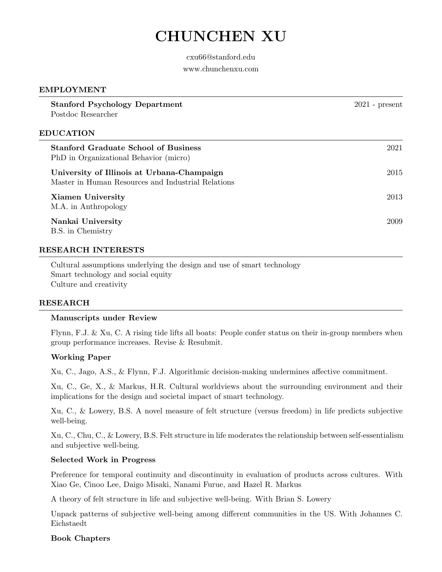# CHUNCHEN XU

### cxu66@stanford.edu

#### www.chunchenxu.com

# EMPLOYMENT

| <b>Stanford Psychology Department</b><br>Postdoc Researcher                                      | $2021$ - present |
|--------------------------------------------------------------------------------------------------|------------------|
| <b>EDUCATION</b>                                                                                 |                  |
| <b>Stanford Graduate School of Business</b><br>PhD in Organizational Behavior (micro)            | 2021             |
| University of Illinois at Urbana-Champaign<br>Master in Human Resources and Industrial Relations | 2015             |
| <b>Xiamen University</b><br>M.A. in Anthropology                                                 | 2013             |
| Nankai University<br>B.S. in Chemistry                                                           | 2009             |

### RESEARCH INTERESTS

Cultural assumptions underlying the design and use of smart technology Smart technology and social equity Culture and creativity

#### RESEARCH

#### Manuscripts under Review

Flynn, F.J. & Xu, C. A rising tide lifts all boats: People confer status on their in-group members when group performance increases. Revise & Resubmit.

#### Working Paper

Xu, C., Jago, A.S., & Flynn, F.J. Algorithmic decision-making undermines affective commitment.

Xu, C., Ge, X., & Markus, H.R. Cultural worldviews about the surrounding environment and their implications for the design and societal impact of smart technology.

Xu, C., & Lowery, B.S. A novel measure of felt structure (versus freedom) in life predicts subjective well-being.

Xu, C., Chu, C., & Lowery, B.S. Felt structure in life moderates the relationship between self-essentialism and subjective well-being.

#### Selected Work in Progress

Preference for temporal continuity and discontinuity in evaluation of products across cultures. With Xiao Ge, Cinoo Lee, Daigo Misaki, Nanami Furue, and Hazel R. Markus

A theory of felt structure in life and subjective well-being. With Brian S. Lowery

Unpack patterns of subjective well-being among different communities in the US. With Johannes C. Eichstaedt

# Book Chapters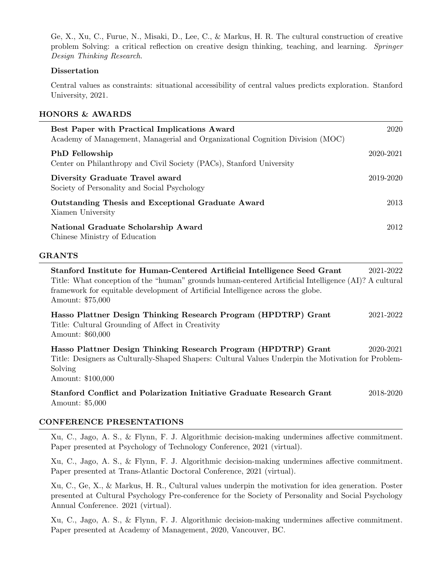Ge, X., Xu, C., Furue, N., Misaki, D., Lee, C., & Markus, H. R. The cultural construction of creative problem Solving: a critical reflection on creative design thinking, teaching, and learning. Springer Design Thinking Research.

# **Dissertation**

Central values as constraints: situational accessibility of central values predicts exploration. Stanford University, 2021.

# HONORS & AWARDS

| <b>Best Paper with Practical Implications Award</b><br>Academy of Management, Managerial and Organizational Cognition Division (MOC) | 2020      |
|--------------------------------------------------------------------------------------------------------------------------------------|-----------|
| <b>PhD</b> Fellowship<br>Center on Philanthropy and Civil Society (PACs), Stanford University                                        | 2020-2021 |
| Diversity Graduate Travel award<br>Society of Personality and Social Psychology                                                      | 2019-2020 |
| Outstanding Thesis and Exceptional Graduate Award<br>Xiamen University                                                               | 2013      |
| National Graduate Scholarship Award<br>Chinese Ministry of Education                                                                 | 2012      |

# GRANTS

Stanford Institute for Human-Centered Artificial Intelligence Seed Grant 2021-2022 Title: What conception of the "human" grounds human-centered Artificial Intelligence (AI)? A cultural framework for equitable development of Artificial Intelligence across the globe. Amount: \$75,000

Hasso Plattner Design Thinking Research Program (HPDTRP) Grant 2021-2022 Title: Cultural Grounding of Affect in Creativity Amount: \$60,000

Hasso Plattner Design Thinking Research Program (HPDTRP) Grant 2020-2021 Title: Designers as Culturally-Shaped Shapers: Cultural Values Underpin the Motivation for Problem-Solving Amount: \$100,000

Stanford Conflict and Polarization Initiative Graduate Research Grant 2018-2020 Amount: \$5,000

# CONFERENCE PRESENTATIONS

Xu, C., Jago, A. S., & Flynn, F. J. Algorithmic decision-making undermines affective commitment. Paper presented at Psychology of Technology Conference, 2021 (virtual).

Xu, C., Jago, A. S., & Flynn, F. J. Algorithmic decision-making undermines affective commitment. Paper presented at Trans-Atlantic Doctoral Conference, 2021 (virtual).

Xu, C., Ge, X., & Markus, H. R., Cultural values underpin the motivation for idea generation. Poster presented at Cultural Psychology Pre-conference for the Society of Personality and Social Psychology Annual Conference. 2021 (virtual).

Xu, C., Jago, A. S., & Flynn, F. J. Algorithmic decision-making undermines affective commitment. Paper presented at Academy of Management, 2020, Vancouver, BC.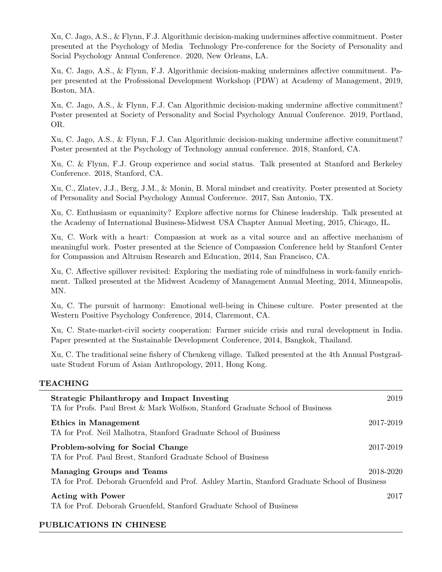Xu, C. Jago, A.S., & Flynn, F.J. Algorithmic decision-making undermines affective commitment. Poster presented at the Psychology of Media Technology Pre-conference for the Society of Personality and Social Psychology Annual Conference. 2020, New Orleans, LA.

Xu, C. Jago, A.S., & Flynn, F.J. Algorithmic decision-making undermines affective commitment. Paper presented at the Professional Development Workshop (PDW) at Academy of Management, 2019, Boston, MA.

Xu, C. Jago, A.S., & Flynn, F.J. Can Algorithmic decision-making undermine affective commitment? Poster presented at Society of Personality and Social Psychology Annual Conference. 2019, Portland, OR.

Xu, C. Jago, A.S., & Flynn, F.J. Can Algorithmic decision-making undermine affective commitment? Poster presented at the Psychology of Technology annual conference. 2018, Stanford, CA.

Xu, C. & Flynn, F.J. Group experience and social status. Talk presented at Stanford and Berkeley Conference. 2018, Stanford, CA.

Xu, C., Zlatev, J.J., Berg, J.M., & Monin, B. Moral mindset and creativity. Poster presented at Society of Personality and Social Psychology Annual Conference. 2017, San Antonio, TX.

Xu, C. Enthusiasm or equanimity? Explore affective norms for Chinese leadership. Talk presented at the Academy of International Business-Midwest USA Chapter Annual Meeting, 2015, Chicago, IL.

Xu, C. Work with a heart: Compassion at work as a vital source and an affective mechanism of meaningful work. Poster presented at the Science of Compassion Conference held by Stanford Center for Compassion and Altruism Research and Education, 2014, San Francisco, CA.

Xu, C. Affective spillover revisited: Exploring the mediating role of mindfulness in work-family enrichment. Talked presented at the Midwest Academy of Management Annual Meeting, 2014, Minneapolis, MN.

Xu, C. The pursuit of harmony: Emotional well-being in Chinese culture. Poster presented at the Western Positive Psychology Conference, 2014, Claremont, CA.

Xu, C. State-market-civil society cooperation: Farmer suicide crisis and rural development in India. Paper presented at the Sustainable Development Conference, 2014, Bangkok, Thailand.

Xu, C. The traditional seine fishery of Chenkeng village. Talked presented at the 4th Annual Postgraduate Student Forum of Asian Anthropology, 2011, Hong Kong.

#### TEACHING

| <b>Strategic Philanthropy and Impact Investing</b><br>TA for Profs. Paul Brest & Mark Wolfson, Stanford Graduate School of Business | 2019      |
|-------------------------------------------------------------------------------------------------------------------------------------|-----------|
| Ethics in Management<br>TA for Prof. Neil Malhotra, Stanford Graduate School of Business                                            | 2017-2019 |
| <b>Problem-solving for Social Change</b><br>TA for Prof. Paul Brest, Stanford Graduate School of Business                           | 2017-2019 |
| <b>Managing Groups and Teams</b><br>TA for Prof. Deborah Gruenfeld and Prof. Ashley Martin, Stanford Graduate School of Business    | 2018-2020 |
| <b>Acting with Power</b><br>TA for Prof. Deborah Gruenfeld, Stanford Graduate School of Business                                    | 2017      |

# PUBLICATIONS IN CHINESE